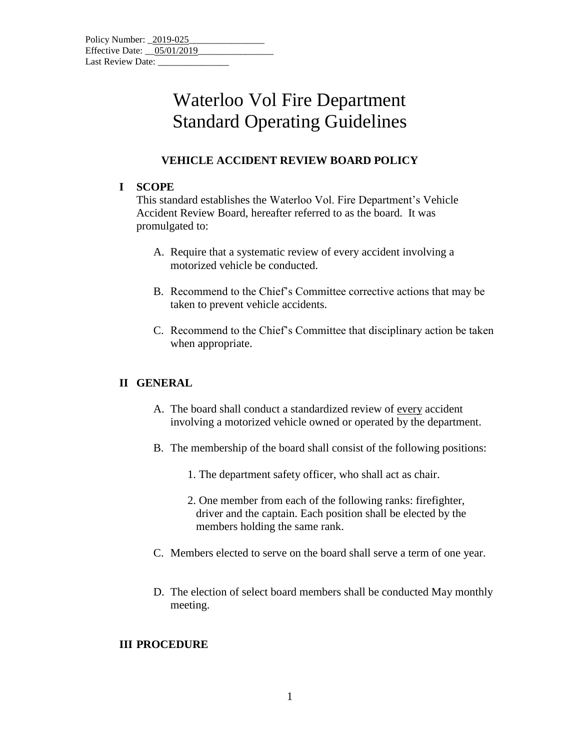| Policy Number: 2019-025    |  |  |
|----------------------------|--|--|
| Effective Date: 05/01/2019 |  |  |
| Last Review Date:          |  |  |

### Waterloo Vol Fire Department Standard Operating Guidelines

#### **VEHICLE ACCIDENT REVIEW BOARD POLICY**

#### **I SCOPE**

This standard establishes the Waterloo Vol. Fire Department's Vehicle Accident Review Board, hereafter referred to as the board. It was promulgated to:

- A. Require that a systematic review of every accident involving a motorized vehicle be conducted.
- B. Recommend to the Chief's Committee corrective actions that may be taken to prevent vehicle accidents.
- C. Recommend to the Chief's Committee that disciplinary action be taken when appropriate.

#### **II GENERAL**

- A. The board shall conduct a standardized review of every accident involving a motorized vehicle owned or operated by the department.
- B. The membership of the board shall consist of the following positions:
	- 1. The department safety officer, who shall act as chair.
	- 2. One member from each of the following ranks: firefighter, driver and the captain. Each position shall be elected by the members holding the same rank.
- C. Members elected to serve on the board shall serve a term of one year.
- D. The election of select board members shall be conducted May monthly meeting.

#### **III PROCEDURE**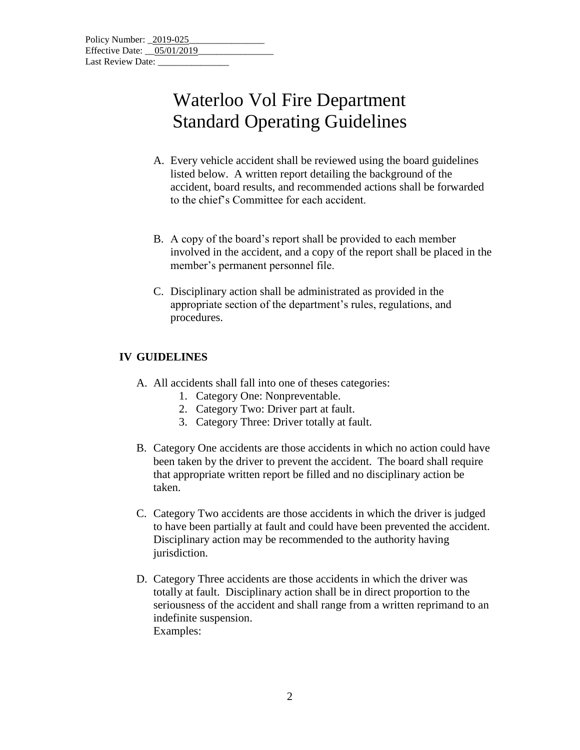# Waterloo Vol Fire Department Standard Operating Guidelines

- A. Every vehicle accident shall be reviewed using the board guidelines listed below. A written report detailing the background of the accident, board results, and recommended actions shall be forwarded to the chief's Committee for each accident.
- B. A copy of the board's report shall be provided to each member involved in the accident, and a copy of the report shall be placed in the member's permanent personnel file.
- C. Disciplinary action shall be administrated as provided in the appropriate section of the department's rules, regulations, and procedures.

### **IV GUIDELINES**

- A. All accidents shall fall into one of theses categories:
	- 1. Category One: Nonpreventable.
	- 2. Category Two: Driver part at fault.
	- 3. Category Three: Driver totally at fault.
- B. Category One accidents are those accidents in which no action could have been taken by the driver to prevent the accident. The board shall require that appropriate written report be filled and no disciplinary action be taken.
- C. Category Two accidents are those accidents in which the driver is judged to have been partially at fault and could have been prevented the accident. Disciplinary action may be recommended to the authority having jurisdiction.
- D. Category Three accidents are those accidents in which the driver was totally at fault. Disciplinary action shall be in direct proportion to the seriousness of the accident and shall range from a written reprimand to an indefinite suspension. Examples: